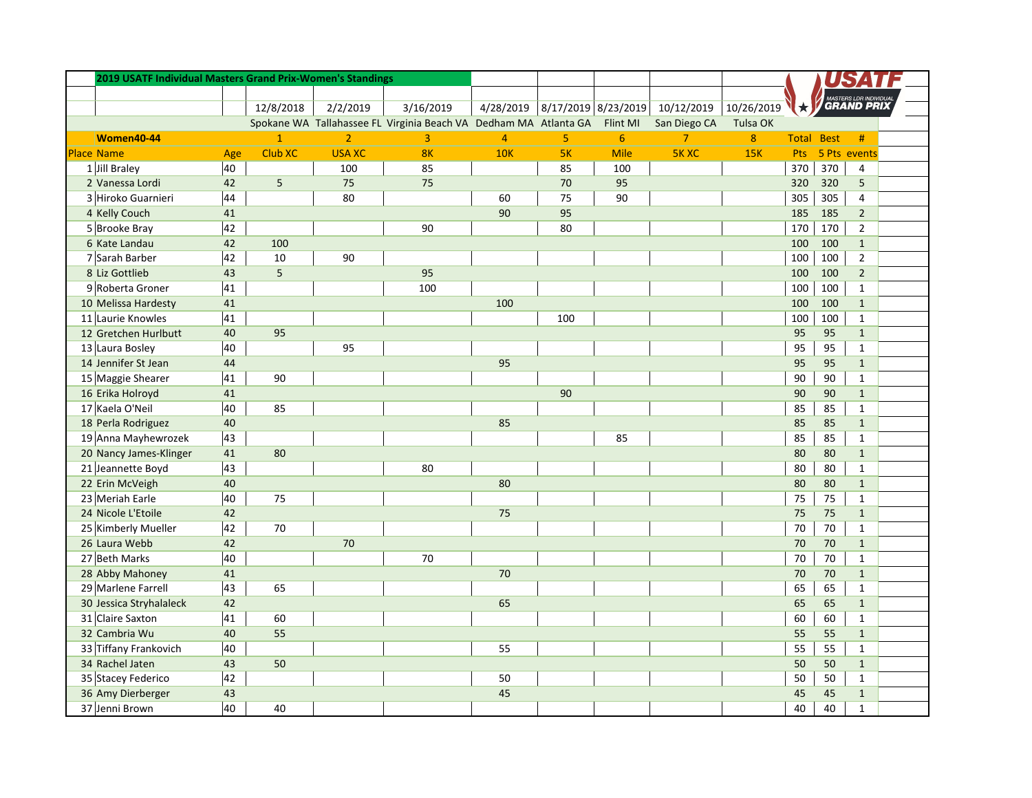| 2019 USATF Individual Masters Grand Prix-Women's Standings |     |                |                |                                                                           |                |                     |                |                |                  |     |                   |                   |  |
|------------------------------------------------------------|-----|----------------|----------------|---------------------------------------------------------------------------|----------------|---------------------|----------------|----------------|------------------|-----|-------------------|-------------------|--|
|                                                            |     |                |                |                                                                           |                |                     |                |                |                  |     |                   |                   |  |
|                                                            |     | 12/8/2018      | 2/2/2019       | 3/16/2019                                                                 | 4/28/2019      | 8/17/2019 8/23/2019 |                | 10/12/2019     | 10/26/2019       |     |                   | <b>GRAND PRIX</b> |  |
|                                                            |     |                |                | Spokane WA Tallahassee FL Virginia Beach VA Dedham MA Atlanta GA Flint MI |                |                     |                | San Diego CA   | Tulsa OK         |     |                   |                   |  |
| Women40-44                                                 |     | $\overline{1}$ | $\overline{2}$ | 3                                                                         | $\overline{4}$ | 5                   | $6\phantom{a}$ | $\overline{7}$ | $\boldsymbol{8}$ |     | <b>Total Best</b> | #                 |  |
| <b>Place Name</b>                                          | Age | <b>Club XC</b> | <b>USA XC</b>  | 8K                                                                        | <b>10K</b>     | 5K                  | Mile           | <b>5KXC</b>    | <b>15K</b>       | Pts |                   | 5 Pts events      |  |
| 1 Jill Braley                                              | 40  |                | 100            | 85                                                                        |                | 85                  | 100            |                |                  | 370 | 370               | $\overline{4}$    |  |
| 2 Vanessa Lordi                                            | 42  | 5              | 75             | 75                                                                        |                | 70                  | 95             |                |                  | 320 | 320               | 5                 |  |
| 3 Hiroko Guarnieri                                         | 44  |                | 80             |                                                                           | 60             | 75                  | 90             |                |                  | 305 | 305               | $\overline{4}$    |  |
| 4 Kelly Couch                                              | 41  |                |                |                                                                           | 90             | 95                  |                |                |                  | 185 | 185               | $\overline{2}$    |  |
| 5 Brooke Bray                                              | 42  |                |                | 90                                                                        |                | 80                  |                |                |                  | 170 | 170               | $\overline{2}$    |  |
| 6 Kate Landau                                              | 42  | 100            |                |                                                                           |                |                     |                |                |                  | 100 | 100               | $\mathbf{1}$      |  |
| 7 Sarah Barber                                             | 42  | 10             | 90             |                                                                           |                |                     |                |                |                  | 100 | 100               | $\overline{2}$    |  |
| 8 Liz Gottlieb                                             | 43  | 5              |                | 95                                                                        |                |                     |                |                |                  | 100 | 100               | $\overline{2}$    |  |
| 9 Roberta Groner                                           | 41  |                |                | 100                                                                       |                |                     |                |                |                  | 100 | 100               | $\mathbf{1}$      |  |
| 10 Melissa Hardesty                                        | 41  |                |                |                                                                           | 100            |                     |                |                |                  | 100 | 100               | $\mathbf{1}$      |  |
| 11 Laurie Knowles                                          | 41  |                |                |                                                                           |                | 100                 |                |                |                  | 100 | 100               | $\mathbf{1}$      |  |
| 12 Gretchen Hurlbutt                                       | 40  | 95             |                |                                                                           |                |                     |                |                |                  | 95  | 95                | $\mathbf{1}$      |  |
| 13 Laura Bosley                                            | 40  |                | 95             |                                                                           |                |                     |                |                |                  | 95  | 95                | $\mathbf{1}$      |  |
| 14 Jennifer St Jean                                        | 44  |                |                |                                                                           | 95             |                     |                |                |                  | 95  | 95                | $\mathbf{1}$      |  |
| 15 Maggie Shearer                                          | 41  | 90             |                |                                                                           |                |                     |                |                |                  | 90  | 90                | $\mathbf{1}$      |  |
| 16 Erika Holroyd                                           | 41  |                |                |                                                                           |                | 90                  |                |                |                  | 90  | 90                | $\mathbf{1}$      |  |
| 17 Kaela O'Neil                                            | 40  | 85             |                |                                                                           |                |                     |                |                |                  | 85  | 85                | $\mathbf{1}$      |  |
| 18 Perla Rodriguez                                         | 40  |                |                |                                                                           | 85             |                     |                |                |                  | 85  | 85                | $\mathbf{1}$      |  |
| 19 Anna Mayhewrozek                                        | 43  |                |                |                                                                           |                |                     | 85             |                |                  | 85  | 85                | $\mathbf{1}$      |  |
| 20 Nancy James-Klinger                                     | 41  | 80             |                |                                                                           |                |                     |                |                |                  | 80  | 80                | $\mathbf{1}$      |  |
| 21 Jeannette Boyd                                          | 43  |                |                | 80                                                                        |                |                     |                |                |                  | 80  | 80                | $\mathbf{1}$      |  |
| 22 Erin McVeigh                                            | 40  |                |                |                                                                           | 80             |                     |                |                |                  | 80  | 80                | $\mathbf{1}$      |  |
| 23 Meriah Earle                                            | 40  | 75             |                |                                                                           |                |                     |                |                |                  | 75  | 75                | $\mathbf{1}$      |  |
| 24 Nicole L'Etoile                                         | 42  |                |                |                                                                           | 75             |                     |                |                |                  | 75  | 75                | $\mathbf{1}$      |  |
| 25 Kimberly Mueller                                        | 42  | 70             |                |                                                                           |                |                     |                |                |                  | 70  | 70                | $\mathbf{1}$      |  |
| 26 Laura Webb                                              | 42  |                | 70             |                                                                           |                |                     |                |                |                  | 70  | 70                | $\mathbf{1}$      |  |
| 27 Beth Marks                                              | 40  |                |                | 70                                                                        |                |                     |                |                |                  | 70  | 70                | $\mathbf{1}$      |  |
| 28 Abby Mahoney                                            | 41  |                |                |                                                                           | 70             |                     |                |                |                  | 70  | 70                | $\mathbf{1}$      |  |
| 29 Marlene Farrell                                         | 43  | 65             |                |                                                                           |                |                     |                |                |                  | 65  | 65                | $\mathbf{1}$      |  |
| 30 Jessica Stryhalaleck                                    | 42  |                |                |                                                                           | 65             |                     |                |                |                  | 65  | 65                | $\mathbf{1}$      |  |
| 31 Claire Saxton                                           | 41  | 60             |                |                                                                           |                |                     |                |                |                  | 60  | 60                | $\mathbf{1}$      |  |
| 32 Cambria Wu                                              | 40  | 55             |                |                                                                           |                |                     |                |                |                  | 55  | 55                | $\mathbf{1}$      |  |
| 33 Tiffany Frankovich                                      | 40  |                |                |                                                                           | 55             |                     |                |                |                  | 55  | 55                | $\mathbf{1}$      |  |
| 34 Rachel Jaten                                            | 43  | 50             |                |                                                                           |                |                     |                |                |                  | 50  | 50                | $\mathbf{1}$      |  |
| 35 Stacey Federico                                         | 42  |                |                |                                                                           | 50             |                     |                |                |                  | 50  | 50                | $\mathbf{1}$      |  |
| 36 Amy Dierberger                                          | 43  |                |                |                                                                           | 45             |                     |                |                |                  | 45  | 45                | $\mathbf{1}$      |  |
| 37 Jenni Brown                                             | 40  | 40             |                |                                                                           |                |                     |                |                |                  | 40  | 40                | $\mathbf{1}$      |  |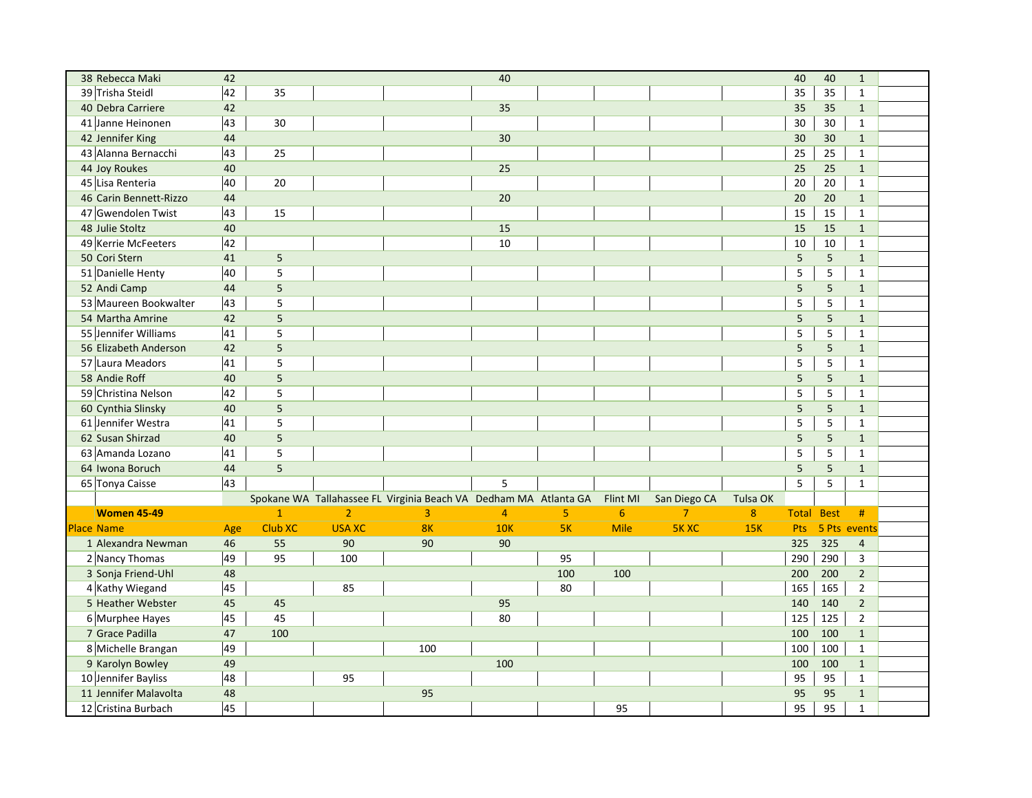| 38 Rebecca Maki        | 42  |                |                |                                                                  | 40              |     |                 |                |          | 40                | 40             | $\mathbf{1}$   |  |
|------------------------|-----|----------------|----------------|------------------------------------------------------------------|-----------------|-----|-----------------|----------------|----------|-------------------|----------------|----------------|--|
| 39 Trisha Steidl       | 42  | 35             |                |                                                                  |                 |     |                 |                |          | 35                | 35             | $\mathbf{1}$   |  |
| 40 Debra Carriere      | 42  |                |                |                                                                  | 35              |     |                 |                |          | 35                | 35             | $\mathbf{1}$   |  |
| 41 Janne Heinonen      | 43  | 30             |                |                                                                  |                 |     |                 |                |          | 30                | 30             | $\mathbf{1}$   |  |
| 42 Jennifer King       | 44  |                |                |                                                                  | 30 <sup>°</sup> |     |                 |                |          | 30                | 30             | $\mathbf{1}$   |  |
| 43 Alanna Bernacchi    | 43  | 25             |                |                                                                  |                 |     |                 |                |          | 25                | 25             | $\mathbf{1}$   |  |
| 44 Joy Roukes          | 40  |                |                |                                                                  | 25              |     |                 |                |          | 25                | 25             | $\mathbf{1}$   |  |
| 45 Lisa Renteria       | 40  | 20             |                |                                                                  |                 |     |                 |                |          | 20                | 20             | $\mathbf{1}$   |  |
| 46 Carin Bennett-Rizzo | 44  |                |                |                                                                  | 20              |     |                 |                |          | 20                | 20             | $\mathbf{1}$   |  |
| 47 Gwendolen Twist     | 43  | 15             |                |                                                                  |                 |     |                 |                |          | 15                | 15             | $\mathbf{1}$   |  |
| 48 Julie Stoltz        | 40  |                |                |                                                                  | 15              |     |                 |                |          | 15                | 15             | $\mathbf{1}$   |  |
| 49 Kerrie McFeeters    | 42  |                |                |                                                                  | 10              |     |                 |                |          | 10                | 10             | $\mathbf{1}$   |  |
| 50 Cori Stern          | 41  | 5              |                |                                                                  |                 |     |                 |                |          | 5                 | 5              | $\mathbf{1}$   |  |
| 51 Danielle Henty      | 40  | 5              |                |                                                                  |                 |     |                 |                |          | 5                 | 5              | $\mathbf{1}$   |  |
| 52 Andi Camp           | 44  | 5              |                |                                                                  |                 |     |                 |                |          | 5                 | 5              | $\mathbf{1}$   |  |
| 53 Maureen Bookwalter  | 43  | 5              |                |                                                                  |                 |     |                 |                |          | $\sf 5$           | 5              | $\mathbf{1}$   |  |
| 54 Martha Amrine       | 42  | 5              |                |                                                                  |                 |     |                 |                |          | 5                 | 5              | $\mathbf{1}$   |  |
| 55 Jennifer Williams   | 41  | 5              |                |                                                                  |                 |     |                 |                |          | 5                 | 5              | $\mathbf{1}$   |  |
| 56 Elizabeth Anderson  | 42  | 5              |                |                                                                  |                 |     |                 |                |          | 5                 | 5              | $\mathbf{1}$   |  |
| 57 Laura Meadors       | 41  | 5              |                |                                                                  |                 |     |                 |                |          | 5                 | 5              | $\mathbf{1}$   |  |
| 58 Andie Roff          | 40  | 5              |                |                                                                  |                 |     |                 |                |          | 5                 | 5 <sup>1</sup> | $\mathbf{1}$   |  |
| 59 Christina Nelson    | 42  | 5              |                |                                                                  |                 |     |                 |                |          | $\sf 5$           | 5              | $\mathbf{1}$   |  |
| 60 Cynthia Slinsky     | 40  | $\overline{5}$ |                |                                                                  |                 |     |                 |                |          | 5                 | 5              | $\mathbf{1}$   |  |
| 61 Jennifer Westra     | 41  | $\overline{5}$ |                |                                                                  |                 |     |                 |                |          | 5                 | 5              | $\mathbf{1}$   |  |
| 62 Susan Shirzad       | 40  | 5              |                |                                                                  |                 |     |                 |                |          | 5                 | 5              | $\mathbf{1}$   |  |
| 63 Amanda Lozano       | 41  | 5              |                |                                                                  |                 |     |                 |                |          | 5                 | 5              | $\mathbf{1}$   |  |
| 64 Iwona Boruch        | 44  | $\overline{5}$ |                |                                                                  |                 |     |                 |                |          | 5                 | $\overline{5}$ | $\mathbf{1}$   |  |
| 65 Tonya Caisse        | 43  |                |                |                                                                  | 5               |     |                 |                |          | 5                 | 5              | $\mathbf{1}$   |  |
|                        |     |                |                | Spokane WA Tallahassee FL Virginia Beach VA Dedham MA Atlanta GA |                 |     | Flint MI        | San Diego CA   | Tulsa OK |                   |                |                |  |
| <b>Women 45-49</b>     |     | $\overline{1}$ | $\overline{2}$ | 3                                                                | $\overline{4}$  | 5   | $6\phantom{1}6$ | $\overline{7}$ | $\bf 8$  | <b>Total Best</b> |                | #              |  |
| <b>Place Name</b>      | Age | <b>Club XC</b> | <b>USA XC</b>  | 8K                                                               | <b>10K</b>      | 5K  | Mile            | <b>5KXC</b>    | 15K      | Pts               |                | 5 Pts events   |  |
| 1 Alexandra Newman     | 46  | 55             | 90             | 90                                                               | 90              |     |                 |                |          | 325               | 325            | $\overline{4}$ |  |
| 2 Nancy Thomas         | 49  | 95             | 100            |                                                                  |                 | 95  |                 |                |          | 290               | 290            | 3              |  |
| 3 Sonja Friend-Uhl     | 48  |                |                |                                                                  |                 | 100 | 100             |                |          | 200               | 200            | $\overline{2}$ |  |
| 4 Kathy Wiegand        | 45  |                | 85             |                                                                  |                 | 80  |                 |                |          | 165               | 165            | $\overline{2}$ |  |
| 5 Heather Webster      | 45  | 45             |                |                                                                  | 95              |     |                 |                |          | 140               | 140            | $\overline{2}$ |  |
| 6 Murphee Hayes        | 45  | 45             |                |                                                                  | 80              |     |                 |                |          | 125               | 125            | $\overline{2}$ |  |
| 7 Grace Padilla        | 47  | 100            |                |                                                                  |                 |     |                 |                |          | 100               | 100            | $\mathbf{1}$   |  |
| 8 Michelle Brangan     | 49  |                |                | 100                                                              |                 |     |                 |                |          | 100               | 100            | $\mathbf{1}$   |  |
| 9 Karolyn Bowley       | 49  |                |                |                                                                  | 100             |     |                 |                |          | 100               | 100            | $\mathbf{1}$   |  |
| 10 Jennifer Bayliss    | 48  |                | 95             |                                                                  |                 |     |                 |                |          | 95                | 95             | $\mathbf{1}$   |  |
| 11 Jennifer Malavolta  | 48  |                |                | 95                                                               |                 |     |                 |                |          | 95                | 95             | $\mathbf{1}$   |  |
| 12 Cristina Burbach    | 45  |                |                |                                                                  |                 |     | 95              |                |          | 95                | 95             | $\mathbf{1}$   |  |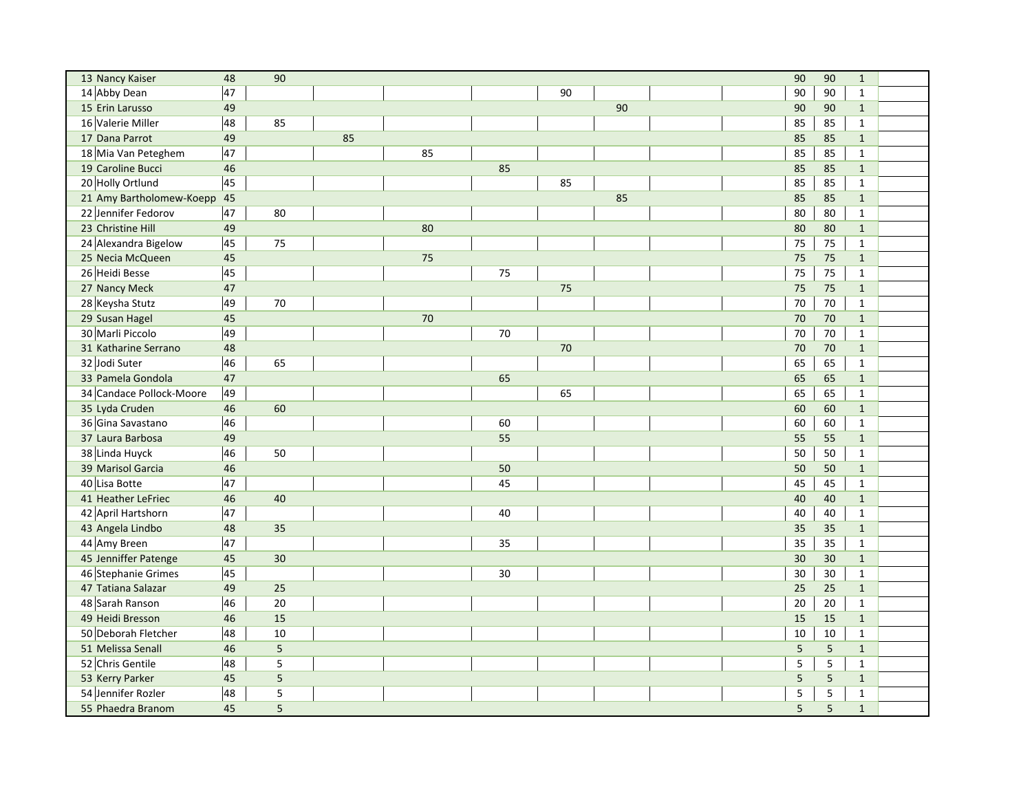| 13 Nancy Kaiser             | 48 | 90             |    |    |        |        | 90              | 90             | $\mathbf{1}$ |  |
|-----------------------------|----|----------------|----|----|--------|--------|-----------------|----------------|--------------|--|
| 14 Abby Dean                | 47 |                |    |    |        | 90     | 90              | 90             | $\mathbf{1}$ |  |
| 15 Erin Larusso             | 49 |                |    |    |        | 90     | 90              | 90             | $\mathbf{1}$ |  |
| 16 Valerie Miller           | 48 | 85             |    |    |        |        | 85              | 85             | $\mathbf{1}$ |  |
| 17 Dana Parrot              | 49 |                | 85 |    |        |        | 85              | 85             | $\mathbf{1}$ |  |
| 18 Mia Van Peteghem         | 47 |                |    | 85 |        |        | 85              | 85             | $\mathbf{1}$ |  |
| 19 Caroline Bucci           | 46 |                |    |    | 85     |        | 85              | 85             | $\mathbf{1}$ |  |
| 20 Holly Ortlund            | 45 |                |    |    |        | 85     | 85              | 85             | $\mathbf{1}$ |  |
| 21 Amy Bartholomew-Koepp 45 |    |                |    |    |        | 85     | 85              | 85             | $\mathbf{1}$ |  |
| 22 Jennifer Fedorov         | 47 | 80             |    |    |        |        | 80              | 80             | $\mathbf{1}$ |  |
| 23 Christine Hill           | 49 |                |    | 80 |        |        | 80              | 80             | $\mathbf{1}$ |  |
| 24 Alexandra Bigelow        | 45 | 75             |    |    |        |        | 75              | 75             | $\mathbf{1}$ |  |
| 25 Necia McQueen            | 45 |                |    | 75 |        |        | 75              | 75             | $\mathbf{1}$ |  |
| 26 Heidi Besse              | 45 |                |    |    | 75     |        | 75              | 75             | $\mathbf{1}$ |  |
| 27 Nancy Meck               | 47 |                |    |    |        | 75     | 75              | 75             | $\mathbf{1}$ |  |
| 28 Keysha Stutz             | 49 | 70             |    |    |        |        | 70              | 70             | $\mathbf{1}$ |  |
| 29 Susan Hagel              | 45 |                |    | 70 |        |        | 70              | 70             | $\mathbf{1}$ |  |
| 30 Marli Piccolo            | 49 |                |    |    | $70\,$ |        | 70              | $70\,$         | $\mathbf{1}$ |  |
| 31 Katharine Serrano        | 48 |                |    |    |        | $70\,$ | 70              | 70             | $\mathbf{1}$ |  |
| 32 Jodi Suter               | 46 | 65             |    |    |        |        | 65              | 65             | $\mathbf{1}$ |  |
| 33 Pamela Gondola           | 47 |                |    |    | 65     |        | 65              | 65             | $\mathbf{1}$ |  |
| 34 Candace Pollock-Moore    | 49 |                |    |    |        | 65     | 65              | 65             | $\mathbf{1}$ |  |
| 35 Lyda Cruden              | 46 | 60             |    |    |        |        | 60              | 60             | $\mathbf{1}$ |  |
| 36 Gina Savastano           | 46 |                |    |    | 60     |        | 60              | 60             | $\mathbf{1}$ |  |
| 37 Laura Barbosa            | 49 |                |    |    | 55     |        | 55              | 55             | $\mathbf{1}$ |  |
| 38 Linda Huyck              | 46 | 50             |    |    |        |        | 50              | 50             | $\mathbf{1}$ |  |
| 39 Marisol Garcia           | 46 |                |    |    | 50     |        | 50              | 50             | $\mathbf{1}$ |  |
| 40 Lisa Botte               | 47 |                |    |    | 45     |        | 45              | 45             | $\mathbf{1}$ |  |
| 41 Heather LeFriec          | 46 | 40             |    |    |        |        | 40              | 40             | $\mathbf{1}$ |  |
| 42 April Hartshorn          | 47 |                |    |    | 40     |        | 40              | 40             | $\mathbf{1}$ |  |
| 43 Angela Lindbo            | 48 | 35             |    |    |        |        | 35              | 35             | $\mathbf{1}$ |  |
| 44 Amy Breen                | 47 |                |    |    | 35     |        | 35              | 35             | $\mathbf{1}$ |  |
| 45 Jenniffer Patenge        | 45 | 30             |    |    |        |        | 30              | 30             | $\mathbf{1}$ |  |
| 46 Stephanie Grimes         | 45 |                |    |    | 30     |        | 30              | 30             | $\mathbf{1}$ |  |
| 47 Tatiana Salazar          | 49 | 25             |    |    |        |        | 25              | 25             | $\mathbf{1}$ |  |
| 48 Sarah Ranson             | 46 | 20             |    |    |        |        | 20              | 20             | $\mathbf{1}$ |  |
| 49 Heidi Bresson            | 46 | 15             |    |    |        |        | 15              | 15             | $\mathbf{1}$ |  |
| 50 Deborah Fletcher         | 48 | 10             |    |    |        |        | 10              | 10             | $\mathbf{1}$ |  |
| 51 Melissa Senall           | 46 | $\overline{5}$ |    |    |        |        | $5\phantom{.0}$ | 5              | $\mathbf{1}$ |  |
| 52 Chris Gentile            | 48 | $\overline{5}$ |    |    |        |        | 5               | 5              | $\mathbf{1}$ |  |
| 53 Kerry Parker             | 45 | $\overline{5}$ |    |    |        |        | 5               | 5 <sup>1</sup> | $\mathbf{1}$ |  |
| 54 Jennifer Rozler          | 48 | 5              |    |    |        |        | 5               | 5              | $\mathbf{1}$ |  |
| 55 Phaedra Branom           | 45 | 5              |    |    |        |        | 5               | $\overline{5}$ | $\mathbf{1}$ |  |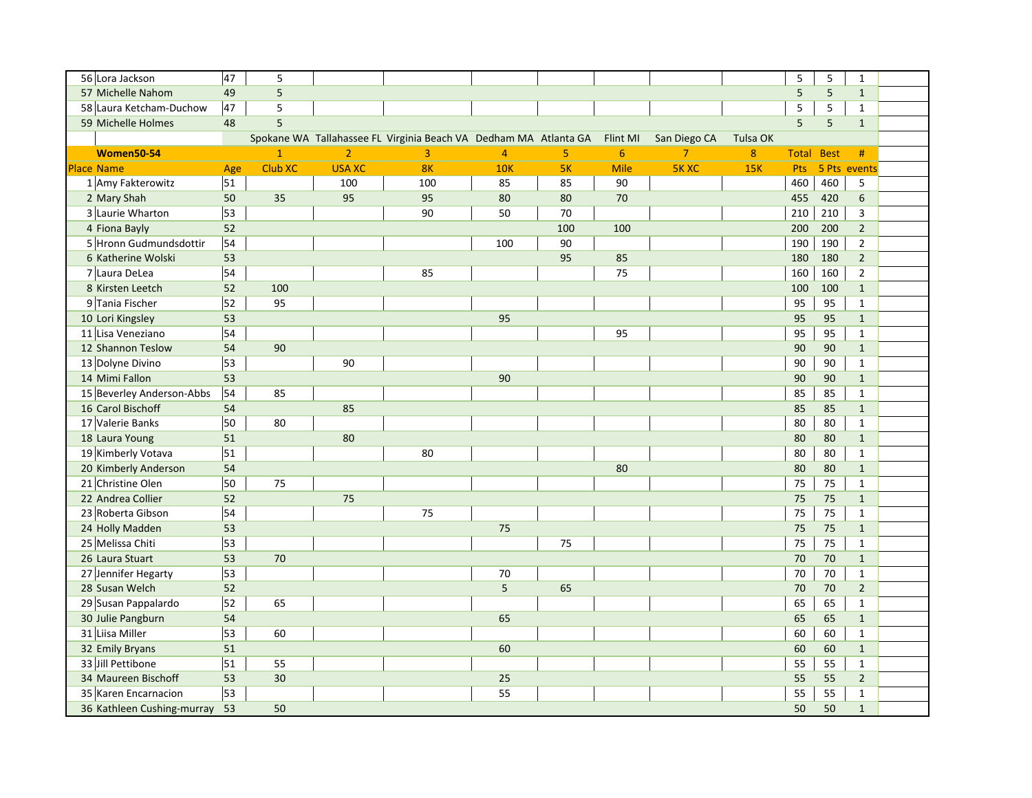| 56 Lora Jackson               | 47              | 5              |                |                                                                  |                |     |             |                |            | 5            | 5           | $\mathbf{1}$    |  |
|-------------------------------|-----------------|----------------|----------------|------------------------------------------------------------------|----------------|-----|-------------|----------------|------------|--------------|-------------|-----------------|--|
| 57 Michelle Nahom             | 49              | $\overline{5}$ |                |                                                                  |                |     |             |                |            | 5            | 5           | $\mathbf{1}$    |  |
| 58 Laura Ketcham-Duchow       | 47              | 5              |                |                                                                  |                |     |             |                |            | 5            | 5           | $\mathbf{1}$    |  |
| 59 Michelle Holmes            | 48              | $\overline{5}$ |                |                                                                  |                |     |             |                |            | 5            | 5           | $\mathbf{1}$    |  |
|                               |                 |                |                | Spokane WA Tallahassee FL Virginia Beach VA Dedham MA Atlanta GA |                |     | Flint MI    | San Diego CA   | Tulsa OK   |              |             |                 |  |
| Women50-54                    |                 | $\mathbf{1}$   | $\overline{2}$ | $\overline{3}$                                                   | $\overline{4}$ | 5   | 6           | $\overline{7}$ | 8          | <b>Total</b> | <b>Best</b> | #               |  |
| <b>Place Name</b>             | Age             | Club XC        | <b>USA XC</b>  | 8K                                                               | <b>10K</b>     | 5K  | <b>Mile</b> | <b>5KXC</b>    | <b>15K</b> | Pts          |             | 5 Pts events    |  |
| 1 Amy Fakterowitz             | 51              |                | 100            | 100                                                              | 85             | 85  | 90          |                |            | 460          | 460         | 5               |  |
| 2 Mary Shah                   | 50              | 35             | 95             | 95                                                               | 80             | 80  | 70          |                |            | 455          | 420         | $6\overline{6}$ |  |
| 3 Laurie Wharton              | 53              |                |                | 90                                                               | 50             | 70  |             |                |            | 210          | 210         | $\overline{3}$  |  |
| 4 Fiona Bayly                 | 52              |                |                |                                                                  |                | 100 | 100         |                |            | 200          | 200         | $\overline{2}$  |  |
| 5 Hronn Gudmundsdottir        | 54              |                |                |                                                                  | 100            | 90  |             |                |            | 190          | 190         | $\overline{2}$  |  |
| 6 Katherine Wolski            | 53              |                |                |                                                                  |                | 95  | 85          |                |            | 180          | 180         | $\overline{2}$  |  |
| 7 Laura DeLea                 | 54              |                |                | 85                                                               |                |     | 75          |                |            | 160          | 160         | $\overline{2}$  |  |
| 8 Kirsten Leetch              | 52              | 100            |                |                                                                  |                |     |             |                |            | 100          | 100         | $\mathbf{1}$    |  |
| 9 Tania Fischer               | $\overline{52}$ | 95             |                |                                                                  |                |     |             |                |            | 95           | 95          | $\mathbf{1}$    |  |
| 10 Lori Kingsley              | 53              |                |                |                                                                  | 95             |     |             |                |            | 95           | 95          | $\mathbf{1}$    |  |
| 11 Lisa Veneziano             | 54              |                |                |                                                                  |                |     | 95          |                |            | 95           | 95          | $\mathbf{1}$    |  |
| 12 Shannon Teslow             | 54              | 90             |                |                                                                  |                |     |             |                |            | 90           | 90          | $\mathbf{1}$    |  |
| 13 Dolyne Divino              | 53              |                | 90             |                                                                  |                |     |             |                |            | 90           | 90          | $\mathbf{1}$    |  |
| 14 Mimi Fallon                | 53              |                |                |                                                                  | 90             |     |             |                |            | 90           | 90          | $\mathbf{1}$    |  |
| 15 Beverley Anderson-Abbs     | 54              | 85             |                |                                                                  |                |     |             |                |            | 85           | 85          | $\mathbf{1}$    |  |
| 16 Carol Bischoff             | 54              |                | 85             |                                                                  |                |     |             |                |            | 85           | 85          | $\mathbf{1}$    |  |
| 17 Valerie Banks              | 50              | 80             |                |                                                                  |                |     |             |                |            | 80           | 80          | $\mathbf{1}$    |  |
| 18 Laura Young                | 51              |                | 80             |                                                                  |                |     |             |                |            | 80           | 80          | $\mathbf{1}$    |  |
| 19 Kimberly Votava            | 51              |                |                | 80                                                               |                |     |             |                |            | 80           | 80          | $\mathbf{1}$    |  |
| 20 Kimberly Anderson          | 54              |                |                |                                                                  |                |     | 80          |                |            | 80           | 80          | $\mathbf{1}$    |  |
| 21 Christine Olen             | 50              | 75             |                |                                                                  |                |     |             |                |            | 75           | 75          | $\mathbf{1}$    |  |
| 22 Andrea Collier             | 52              |                | 75             |                                                                  |                |     |             |                |            | 75           | 75          | $\mathbf{1}$    |  |
| 23 Roberta Gibson             | 54              |                |                | 75                                                               |                |     |             |                |            | 75           | 75          | $\mathbf{1}$    |  |
| 24 Holly Madden               | 53              |                |                |                                                                  | 75             |     |             |                |            | 75           | 75          | $\mathbf{1}$    |  |
| 25 Melissa Chiti              | 53              |                |                |                                                                  |                | 75  |             |                |            | 75           | 75          | $\mathbf{1}$    |  |
| 26 Laura Stuart               | 53              | 70             |                |                                                                  |                |     |             |                |            | 70           | 70          | $\mathbf{1}$    |  |
| 27 Jennifer Hegarty           | 53              |                |                |                                                                  | 70             |     |             |                |            | 70           | 70          | $\mathbf{1}$    |  |
| 28 Susan Welch                | 52              |                |                |                                                                  | 5              | 65  |             |                |            | 70           | 70          | $\overline{2}$  |  |
| 29 Susan Pappalardo           | 52              | 65             |                |                                                                  |                |     |             |                |            | 65           | 65          | $\mathbf{1}$    |  |
| 30 Julie Pangburn             | 54              |                |                |                                                                  | 65             |     |             |                |            | 65           | 65          | $\mathbf{1}$    |  |
| 31 Liisa Miller               | 53              | 60             |                |                                                                  |                |     |             |                |            | 60           | 60          | $\mathbf{1}$    |  |
| 32 Emily Bryans               | 51              |                |                |                                                                  | 60             |     |             |                |            | 60           | 60          | $\mathbf{1}$    |  |
| 33 Jill Pettibone             | 51              | 55             |                |                                                                  |                |     |             |                |            | 55           | 55          | $\mathbf{1}$    |  |
| 34 Maureen Bischoff           | 53              | 30             |                |                                                                  | 25             |     |             |                |            | 55           | 55          | $\overline{2}$  |  |
| 35 Karen Encarnacion          | 53              |                |                |                                                                  | 55             |     |             |                |            | 55           | 55          | $\mathbf{1}$    |  |
| 36 Kathleen Cushing-murray 53 |                 | 50             |                |                                                                  |                |     |             |                |            | 50           | 50          | $\mathbf{1}$    |  |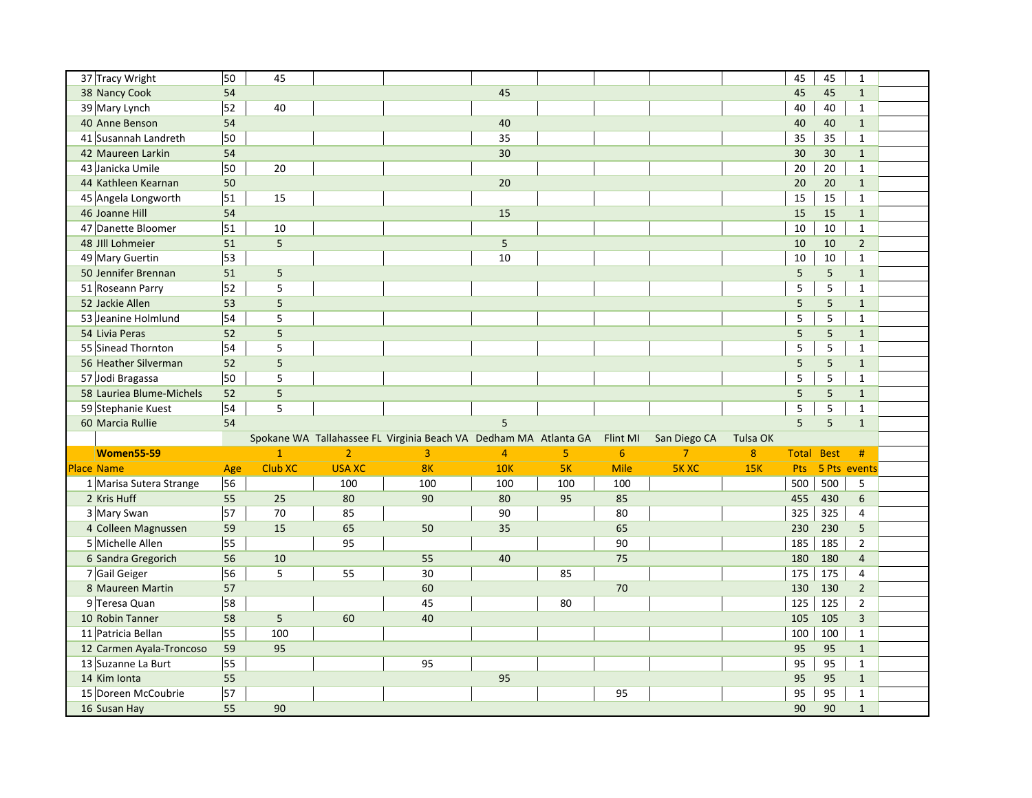| 37 Tracy Wright          | 50              | 45             |                |                                                                  |                |     |          |                |                 | 45                | 45              | $\mathbf{1}$   |  |
|--------------------------|-----------------|----------------|----------------|------------------------------------------------------------------|----------------|-----|----------|----------------|-----------------|-------------------|-----------------|----------------|--|
| 38 Nancy Cook            | 54              |                |                |                                                                  | 45             |     |          |                |                 | 45                | 45              | $\mathbf{1}$   |  |
| 39 Mary Lynch            | 52              | 40             |                |                                                                  |                |     |          |                |                 | 40                | 40              | $\mathbf{1}$   |  |
| 40 Anne Benson           | 54              |                |                |                                                                  | 40             |     |          |                |                 | 40                | 40              | $\mathbf{1}$   |  |
| 41 Susannah Landreth     | 50              |                |                |                                                                  | 35             |     |          |                |                 | 35                | 35              | $\mathbf{1}$   |  |
| 42 Maureen Larkin        | 54              |                |                |                                                                  | 30             |     |          |                |                 | 30                | 30 <sup>°</sup> | $\mathbf{1}$   |  |
| 43 Janicka Umile         | 50              | 20             |                |                                                                  |                |     |          |                |                 | 20                | 20              | $\mathbf{1}$   |  |
| 44 Kathleen Kearnan      | 50              |                |                |                                                                  | 20             |     |          |                |                 | 20                | 20              | $\mathbf{1}$   |  |
| 45 Angela Longworth      | 51              | 15             |                |                                                                  |                |     |          |                |                 | 15                | 15              | $\mathbf{1}$   |  |
| 46 Joanne Hill           | 54              |                |                |                                                                  | 15             |     |          |                |                 | 15                | 15              | $\mathbf{1}$   |  |
| 47 Danette Bloomer       | 51              | 10             |                |                                                                  |                |     |          |                |                 | 10                | 10              | $\mathbf{1}$   |  |
| 48 JIII Lohmeier         | 51              | 5              |                |                                                                  | 5              |     |          |                |                 | 10                | 10              | $\overline{2}$ |  |
| 49 Mary Guertin          | 53              |                |                |                                                                  | 10             |     |          |                |                 | 10                | 10              | $\mathbf{1}$   |  |
| 50 Jennifer Brennan      | 51              | 5              |                |                                                                  |                |     |          |                |                 | 5                 | 5               | $\mathbf{1}$   |  |
| 51 Roseann Parry         | 52              | 5              |                |                                                                  |                |     |          |                |                 | 5                 | 5               | $\mathbf{1}$   |  |
| 52 Jackie Allen          | 53              | $\overline{5}$ |                |                                                                  |                |     |          |                |                 | $\overline{5}$    | $\overline{5}$  | $\mathbf{1}$   |  |
| 53 Jeanine Holmlund      | 54              | 5              |                |                                                                  |                |     |          |                |                 | 5                 | 5               | $\mathbf{1}$   |  |
| 54 Livia Peras           | 52              | 5              |                |                                                                  |                |     |          |                |                 | 5                 | 5               | $\mathbf{1}$   |  |
| 55 Sinead Thornton       | 54              | 5              |                |                                                                  |                |     |          |                |                 | 5                 | 5               | $\mathbf{1}$   |  |
| 56 Heather Silverman     | 52              | $\overline{5}$ |                |                                                                  |                |     |          |                |                 | 5                 | $\overline{5}$  | $\mathbf{1}$   |  |
| 57 Jodi Bragassa         | 50              | 5              |                |                                                                  |                |     |          |                |                 | 5                 | 5               | $\mathbf{1}$   |  |
| 58 Lauriea Blume-Michels | 52              | 5              |                |                                                                  |                |     |          |                |                 | 5                 | 5               | $\mathbf{1}$   |  |
| 59 Stephanie Kuest       | 54              | 5              |                |                                                                  |                |     |          |                |                 | 5                 | 5               | $\mathbf{1}$   |  |
| 60 Marcia Rullie         | 54              |                |                |                                                                  | 5              |     |          |                |                 | 5                 | 5               | $\mathbf{1}$   |  |
|                          |                 |                |                | Spokane WA Tallahassee FL Virginia Beach VA Dedham MA Atlanta GA |                |     | Flint MI | San Diego CA   | <b>Tulsa OK</b> |                   |                 |                |  |
| <b>Women55-59</b>        |                 | $\mathbf{1}$   | $\overline{2}$ | 3                                                                | $\overline{4}$ | 5   | 6        | $\overline{7}$ | $\bf 8$         | <b>Total Best</b> |                 | #              |  |
| <b>Place Name</b>        | Age             | <b>Club XC</b> | <b>USA XC</b>  | 8K                                                               | <b>10K</b>     | 5K  | Mile     | <b>5KXC</b>    | 15K             | Pts               |                 | 5 Pts events   |  |
| 1 Marisa Sutera Strange  | 56              |                | 100            | 100                                                              | 100            | 100 | 100      |                |                 | 500               | 500             | 5              |  |
| 2 Kris Huff              | 55              | 25             | 80             | 90                                                               | 80             | 95  | 85       |                |                 | 455               | 430             | $\sqrt{6}$     |  |
| 3 Mary Swan              | $\overline{57}$ | 70             | 85             |                                                                  | 90             |     | 80       |                |                 | 325               | 325             | $\overline{4}$ |  |
| 4 Colleen Magnussen      | 59              | 15             | 65             | 50                                                               | 35             |     | 65       |                |                 | 230               | 230             | 5              |  |
| 5 Michelle Allen         | 55              |                | 95             |                                                                  |                |     | 90       |                |                 | 185               | 185             | $\overline{2}$ |  |
| 6 Sandra Gregorich       | 56              | 10             |                | 55                                                               | 40             |     | 75       |                |                 | 180               | 180             | $\overline{4}$ |  |
| 7 Gail Geiger            | 56              | 5              | 55             | 30                                                               |                | 85  |          |                |                 | 175               | 175             | 4              |  |
| 8 Maureen Martin         | 57              |                |                | 60                                                               |                |     | 70       |                |                 | 130               | 130             | $\overline{2}$ |  |
| 9 Teresa Quan            | 58              |                |                | 45                                                               |                | 80  |          |                |                 | 125               | 125             | $\overline{2}$ |  |
| 10 Robin Tanner          | 58              | 5              | 60             | 40                                                               |                |     |          |                |                 | 105               | 105             | $\overline{3}$ |  |
| 11 Patricia Bellan       | 55              | 100            |                |                                                                  |                |     |          |                |                 | 100               | 100             | $\mathbf{1}$   |  |
| 12 Carmen Ayala-Troncoso | 59              | 95             |                |                                                                  |                |     |          |                |                 | 95                | 95              | $\mathbf{1}$   |  |
| 13 Suzanne La Burt       | 55              |                |                | 95                                                               |                |     |          |                |                 | 95                | 95              | $\mathbf{1}$   |  |
| 14 Kim Ionta             | 55              |                |                |                                                                  | 95             |     |          |                |                 | 95                | 95              | $\mathbf{1}$   |  |
| 15 Doreen McCoubrie      | 57              |                |                |                                                                  |                |     | 95       |                |                 | 95                | 95              | $\mathbf{1}$   |  |
| 16 Susan Hay             | 55              | 90             |                |                                                                  |                |     |          |                |                 | 90                | 90              | $\mathbf{1}$   |  |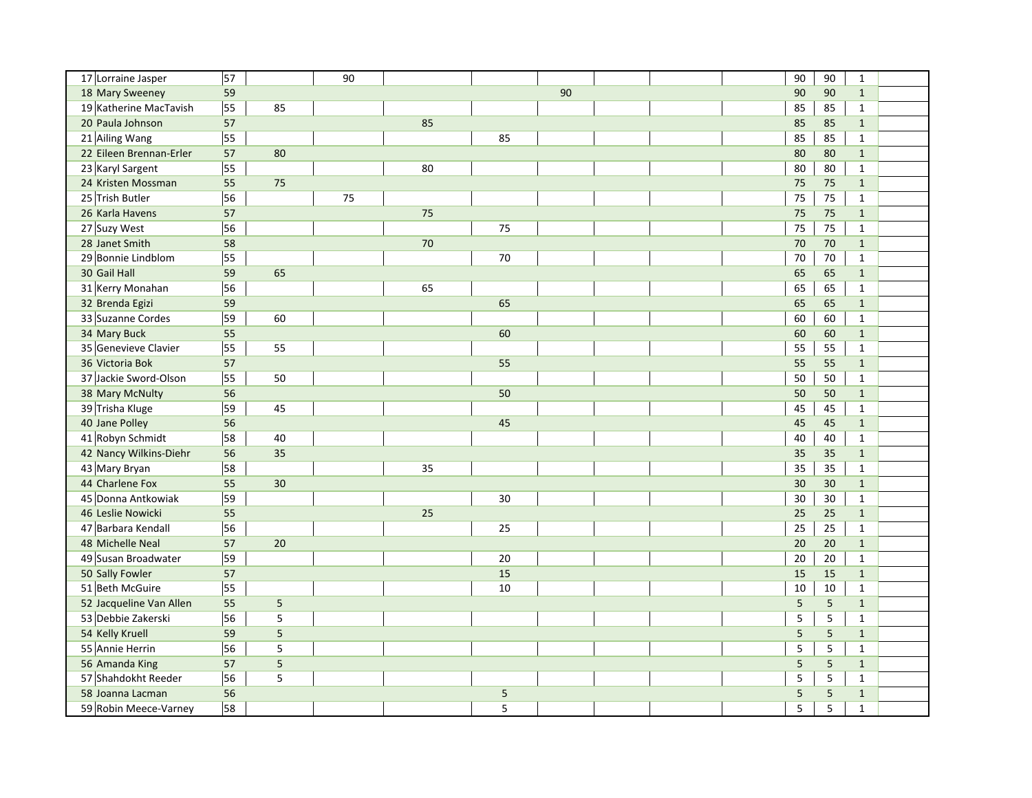| 17 Lorraine Jasper      | 57 |    | 90 |    |    |    | 90             | 90     | $\mathbf{1}$   |  |
|-------------------------|----|----|----|----|----|----|----------------|--------|----------------|--|
| 18 Mary Sweeney         | 59 |    |    |    |    | 90 | 90             | 90     | $\mathbf{1}$   |  |
| 19 Katherine MacTavish  | 55 | 85 |    |    |    |    | 85             | 85     | $\mathbf{1}$   |  |
| 20 Paula Johnson        | 57 |    |    | 85 |    |    | 85             | 85     | $\mathbf{1}$   |  |
| 21 Ailing Wang          | 55 |    |    |    | 85 |    | 85             | 85     | $\mathbf{1}$   |  |
| 22 Eileen Brennan-Erler | 57 | 80 |    |    |    |    | 80             | 80     | $\mathbf{1}$   |  |
| 23 Karyl Sargent        | 55 |    |    | 80 |    |    | 80             | 80     | $\mathbf{1}$   |  |
| 24 Kristen Mossman      | 55 | 75 |    |    |    |    | 75             | 75     | $\mathbf{1}$   |  |
| 25 Trish Butler         | 56 |    | 75 |    |    |    | 75             | 75     | $\mathbf 1$    |  |
| 26 Karla Havens         | 57 |    |    | 75 |    |    | 75             | 75     | $\mathbf{1}$   |  |
| 27 Suzy West            | 56 |    |    |    | 75 |    | 75             | 75     | $\mathbf{1}$   |  |
| 28 Janet Smith          | 58 |    |    | 70 |    |    | 70             | 70     | $\mathbf{1}$   |  |
| 29 Bonnie Lindblom      | 55 |    |    |    | 70 |    | 70             | 70     | $\mathbf{1}$   |  |
| 30 Gail Hall            | 59 | 65 |    |    |    |    | 65             | 65     | $\mathbf{1}$   |  |
| 31 Kerry Monahan        | 56 |    |    | 65 |    |    | 65             | 65     | $\mathbf{1}$   |  |
| 32 Brenda Egizi         | 59 |    |    |    | 65 |    | 65             | 65     | $\mathbf{1}$   |  |
| 33 Suzanne Cordes       | 59 | 60 |    |    |    |    | 60             | 60     | $\mathbf{1}$   |  |
| 34 Mary Buck            | 55 |    |    |    | 60 |    | 60             | 60     | $\mathbf{1}$   |  |
| 35 Genevieve Clavier    | 55 | 55 |    |    |    |    | 55             | 55     | $\mathbf{1}$   |  |
| 36 Victoria Bok         | 57 |    |    |    | 55 |    | 55             | 55     | $\mathbf{1}$   |  |
| 37 Jackie Sword-Olson   | 55 | 50 |    |    |    |    | 50             | 50     | $\mathbf{1}$   |  |
| 38 Mary McNulty         | 56 |    |    |    | 50 |    | 50             | 50     | $\mathbf{1}$   |  |
| 39 Trisha Kluge         | 59 | 45 |    |    |    |    | 45             | 45     | $\mathbf{1}$   |  |
| 40 Jane Polley          | 56 |    |    |    | 45 |    | 45             | 45     | $\overline{1}$ |  |
| 41 Robyn Schmidt        | 58 | 40 |    |    |    |    | 40             | 40     | $\mathbf{1}$   |  |
| 42 Nancy Wilkins-Diehr  | 56 | 35 |    |    |    |    | 35             | 35     | $\mathbf{1}$   |  |
| 43 Mary Bryan           | 58 |    |    | 35 |    |    | 35             | 35     | $\mathbf{1}$   |  |
| 44 Charlene Fox         | 55 | 30 |    |    |    |    | 30             | 30     | $\mathbf{1}$   |  |
| 45 Donna Antkowiak      | 59 |    |    |    | 30 |    | 30             | 30     | $\mathbf{1}$   |  |
| 46 Leslie Nowicki       | 55 |    |    | 25 |    |    | 25             | 25     | $\mathbf{1}$   |  |
| 47 Barbara Kendall      | 56 |    |    |    | 25 |    | 25             | 25     | $\mathbf{1}$   |  |
| 48 Michelle Neal        | 57 | 20 |    |    |    |    | 20             | 20     | $\mathbf{1}$   |  |
| 49 Susan Broadwater     | 59 |    |    |    | 20 |    | 20             | $20\,$ | $\mathbf{1}$   |  |
| 50 Sally Fowler         | 57 |    |    |    | 15 |    | 15             | 15     | $\mathbf{1}$   |  |
| 51 Beth McGuire         | 55 |    |    |    | 10 |    | 10             | $10\,$ | $\mathbf{1}$   |  |
| 52 Jacqueline Van Allen | 55 | 5  |    |    |    |    | $\overline{5}$ | 5      | $\mathbf{1}$   |  |
| 53 Debbie Zakerski      | 56 | 5  |    |    |    |    | $\sf 5$        | 5      | $\mathbf{1}$   |  |
| 54 Kelly Kruell         | 59 | 5  |    |    |    |    | 5              | 5      | $\mathbf{1}$   |  |
| 55 Annie Herrin         | 56 | 5  |    |    |    |    | $\sf 5$        | 5      | $\mathbf{1}$   |  |
| 56 Amanda King          | 57 | 5  |    |    |    |    | 5              | 5      | $\mathbf{1}$   |  |
| 57 Shahdokht Reeder     | 56 | 5  |    |    |    |    | 5              | 5      | $\mathbf{1}$   |  |
| 58 Joanna Lacman        | 56 |    |    |    | 5  |    | 5              | 5      | $\mathbf{1}$   |  |
| 59 Robin Meece-Varney   | 58 |    |    |    | 5  |    | 5              | 5      | $\mathbf{1}$   |  |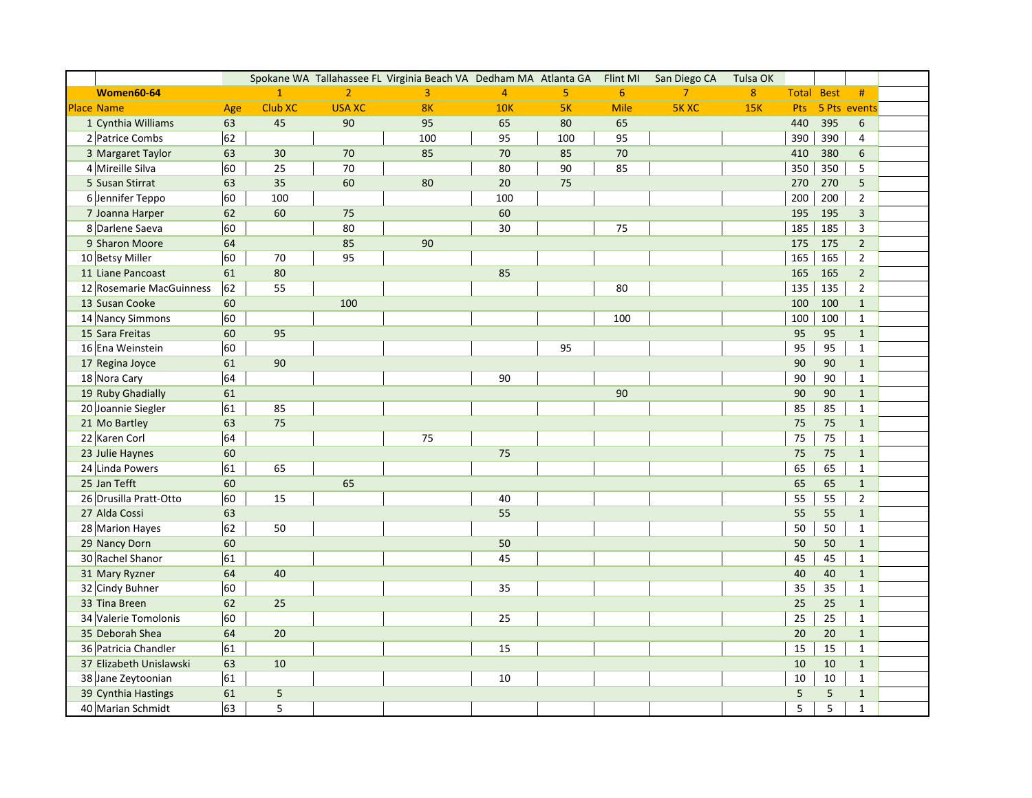|                          |     |                |                | Spokane WA Tallahassee FL Virginia Beach VA Dedham MA Atlanta GA |                |                | Flint MI | San Diego CA   | Tulsa OK         |              |             |                |  |
|--------------------------|-----|----------------|----------------|------------------------------------------------------------------|----------------|----------------|----------|----------------|------------------|--------------|-------------|----------------|--|
| <b>Women60-64</b>        |     | $\overline{1}$ | $\overline{2}$ | $\overline{3}$                                                   | $\overline{4}$ | 5 <sup>1</sup> | 6        | 7 <sup>7</sup> | $\boldsymbol{8}$ | <b>Total</b> | <b>Best</b> | #              |  |
| <b>Place Name</b>        | Age | Club XC        | <b>USA XC</b>  | 8 <sub>K</sub>                                                   | <b>10K</b>     | 5K             | Mile     | <b>5KXC</b>    | 15K              | Pts          |             | 5 Pts events   |  |
| 1 Cynthia Williams       | 63  | 45             | 90             | 95                                                               | 65             | 80             | 65       |                |                  | 440          | 395         | 6              |  |
| 2 Patrice Combs          | 62  |                |                | 100                                                              | 95             | 100            | 95       |                |                  | 390          | 390         | 4              |  |
| 3 Margaret Taylor        | 63  | 30             | $70\,$         | 85                                                               | $70\,$         | 85             | 70       |                |                  | 410          | 380         | 6              |  |
| 4 Mireille Silva         | 60  | 25             | 70             |                                                                  | 80             | 90             | 85       |                |                  | 350          | 350         | 5              |  |
| 5 Susan Stirrat          | 63  | 35             | 60             | 80                                                               | 20             | 75             |          |                |                  | 270          | 270         | $\overline{5}$ |  |
| 6 Jennifer Teppo         | 60  | 100            |                |                                                                  | 100            |                |          |                |                  | 200          | 200         | $\overline{2}$ |  |
| 7 Joanna Harper          | 62  | 60             | 75             |                                                                  | 60             |                |          |                |                  | 195          | 195         | $\mathbf{3}$   |  |
| 8 Darlene Saeva          | 60  |                | 80             |                                                                  | 30             |                | 75       |                |                  | 185          | 185         | 3              |  |
| 9 Sharon Moore           | 64  |                | 85             | 90                                                               |                |                |          |                |                  | 175          | 175         | $\overline{2}$ |  |
| 10 Betsy Miller          | 60  | 70             | 95             |                                                                  |                |                |          |                |                  | 165          | 165         | $\overline{2}$ |  |
| 11 Liane Pancoast        | 61  | 80             |                |                                                                  | 85             |                |          |                |                  | 165          | 165         | $2^{\circ}$    |  |
| 12 Rosemarie MacGuinness | 62  | 55             |                |                                                                  |                |                | 80       |                |                  | 135          | 135         | $\overline{2}$ |  |
| 13 Susan Cooke           | 60  |                | 100            |                                                                  |                |                |          |                |                  | 100          | 100         | $\mathbf{1}$   |  |
| 14 Nancy Simmons         | 60  |                |                |                                                                  |                |                | 100      |                |                  | 100          | 100         | $\mathbf{1}$   |  |
| 15 Sara Freitas          | 60  | 95             |                |                                                                  |                |                |          |                |                  | 95           | 95          | $\mathbf{1}$   |  |
| 16 Ena Weinstein         | 60  |                |                |                                                                  |                | 95             |          |                |                  | 95           | 95          | $\mathbf{1}$   |  |
| 17 Regina Joyce          | 61  | 90             |                |                                                                  |                |                |          |                |                  | 90           | 90          | $\mathbf{1}$   |  |
| 18 Nora Cary             | 64  |                |                |                                                                  | 90             |                |          |                |                  | 90           | 90          | $\mathbf{1}$   |  |
| 19 Ruby Ghadially        | 61  |                |                |                                                                  |                |                | 90       |                |                  | 90           | 90          | $\mathbf{1}$   |  |
| 20 Joannie Siegler       | 61  | 85             |                |                                                                  |                |                |          |                |                  | 85           | 85          | $\mathbf{1}$   |  |
| 21 Mo Bartley            | 63  | 75             |                |                                                                  |                |                |          |                |                  | 75           | 75          | $\mathbf{1}$   |  |
| 22 Karen Corl            | 64  |                |                | 75                                                               |                |                |          |                |                  | 75           | 75          | $\mathbf{1}$   |  |
| 23 Julie Haynes          | 60  |                |                |                                                                  | 75             |                |          |                |                  | 75           | 75          | $\mathbf{1}$   |  |
| 24 Linda Powers          | 61  | 65             |                |                                                                  |                |                |          |                |                  | 65           | 65          | $\mathbf{1}$   |  |
| 25 Jan Tefft             | 60  |                | 65             |                                                                  |                |                |          |                |                  | 65           | 65          | $\mathbf{1}$   |  |
| 26 Drusilla Pratt-Otto   | 60  | 15             |                |                                                                  | 40             |                |          |                |                  | 55           | 55          | $\overline{2}$ |  |
| 27 Alda Cossi            | 63  |                |                |                                                                  | 55             |                |          |                |                  | 55           | 55          | $\mathbf{1}$   |  |
| 28 Marion Hayes          | 62  | 50             |                |                                                                  |                |                |          |                |                  | 50           | 50          | $\mathbf{1}$   |  |
| 29 Nancy Dorn            | 60  |                |                |                                                                  | 50             |                |          |                |                  | 50           | 50          | $\mathbf{1}$   |  |
| 30 Rachel Shanor         | 61  |                |                |                                                                  | 45             |                |          |                |                  | 45           | 45          | $\mathbf{1}$   |  |
| 31 Mary Ryzner           | 64  | 40             |                |                                                                  |                |                |          |                |                  | 40           | 40          | $\mathbf{1}$   |  |
| 32 Cindy Buhner          | 60  |                |                |                                                                  | 35             |                |          |                |                  | 35           | 35          | $\mathbf{1}$   |  |
| 33 Tina Breen            | 62  | 25             |                |                                                                  |                |                |          |                |                  | 25           | 25          | $\mathbf{1}$   |  |
| 34 Valerie Tomolonis     | 60  |                |                |                                                                  | 25             |                |          |                |                  | 25           | 25          | $\mathbf{1}$   |  |
| 35 Deborah Shea          | 64  | 20             |                |                                                                  |                |                |          |                |                  | 20           | 20          | $\mathbf{1}$   |  |
| 36 Patricia Chandler     | 61  |                |                |                                                                  | 15             |                |          |                |                  | 15           | 15          | $\mathbf{1}$   |  |
| 37 Elizabeth Unislawski  | 63  | 10             |                |                                                                  |                |                |          |                |                  | 10           | 10          | $\mathbf{1}$   |  |
| 38 Jane Zeytoonian       | 61  |                |                |                                                                  | 10             |                |          |                |                  | 10           | $10\,$      | $\mathbf{1}$   |  |
| 39 Cynthia Hastings      | 61  | 5              |                |                                                                  |                |                |          |                |                  | 5            | 5           | $\mathbf{1}$   |  |
| 40 Marian Schmidt        | 63  | 5              |                |                                                                  |                |                |          |                |                  | 5            | 5           | $\mathbf{1}$   |  |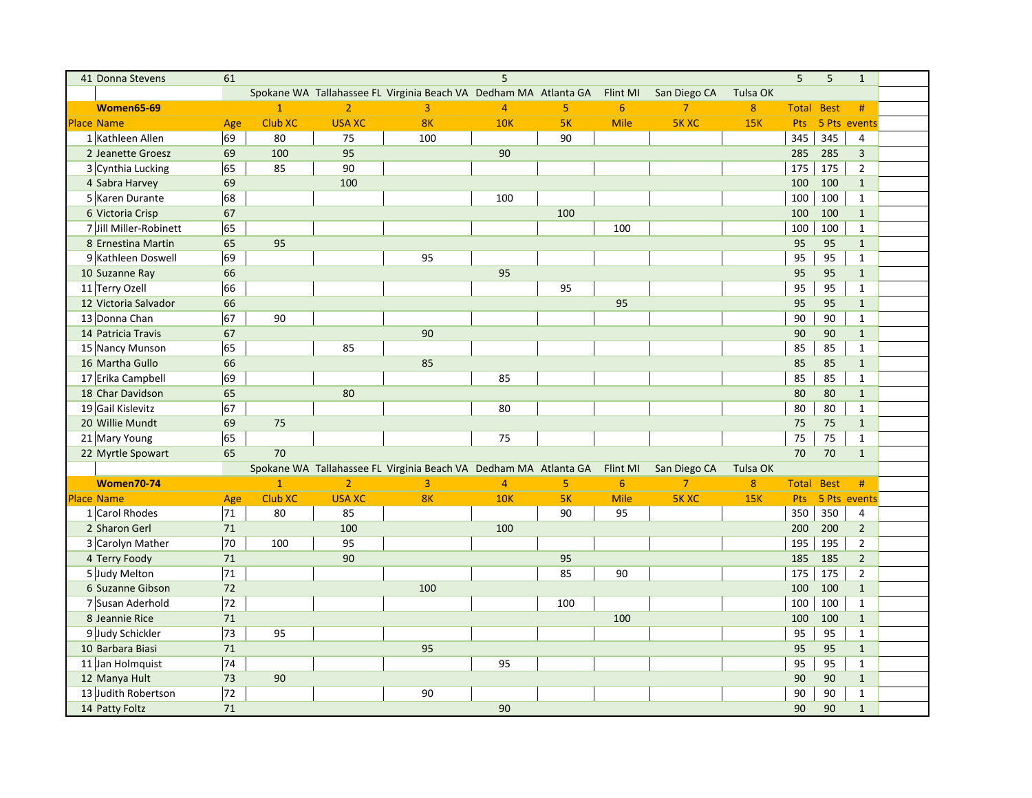| 41 Donna Stevens       | 61  |                |                |                                                                  | 5              |                |                |                |                  | 5            | 5           | $\mathbf{1}$   |  |
|------------------------|-----|----------------|----------------|------------------------------------------------------------------|----------------|----------------|----------------|----------------|------------------|--------------|-------------|----------------|--|
|                        |     |                |                | Spokane WA Tallahassee FL Virginia Beach VA Dedham MA Atlanta GA |                |                | Flint MI       | San Diego CA   | Tulsa OK         |              |             |                |  |
| <b>Women65-69</b>      |     | $\overline{1}$ | $\overline{2}$ | $\overline{3}$                                                   | $\overline{4}$ | 5              | $6\phantom{a}$ | $\overline{7}$ | $\boldsymbol{8}$ | <b>Total</b> | <b>Best</b> | #              |  |
| <b>Place Name</b>      | Age | <b>Club XC</b> | <b>USA XC</b>  | 8 <sub>K</sub>                                                   | <b>10K</b>     | 5K             | Mile           | <b>5KXC</b>    | <b>15K</b>       | Pts          |             | 5 Pts events   |  |
| 1 Kathleen Allen       | 69  | 80             | 75             | 100                                                              |                | 90             |                |                |                  | 345          | 345         | $\overline{4}$ |  |
| 2 Jeanette Groesz      | 69  | 100            | 95             |                                                                  | 90             |                |                |                |                  | 285          | 285         | $\overline{3}$ |  |
| 3 Cynthia Lucking      | 65  | 85             | 90             |                                                                  |                |                |                |                |                  | 175          | 175         | $\overline{2}$ |  |
| 4 Sabra Harvey         | 69  |                | 100            |                                                                  |                |                |                |                |                  | 100          | 100         | $\mathbf{1}$   |  |
| 5 Karen Durante        | 68  |                |                |                                                                  | 100            |                |                |                |                  | 100          | 100         | $\mathbf{1}$   |  |
| 6 Victoria Crisp       | 67  |                |                |                                                                  |                | 100            |                |                |                  | 100          | 100         | $\mathbf{1}$   |  |
| 7 Jill Miller-Robinett | 65  |                |                |                                                                  |                |                | 100            |                |                  | 100          | 100         | $\mathbf{1}$   |  |
| 8 Ernestina Martin     | 65  | 95             |                |                                                                  |                |                |                |                |                  | 95           | 95          | $\mathbf{1}$   |  |
| 9 Kathleen Doswell     | 69  |                |                | 95                                                               |                |                |                |                |                  | 95           | 95          | $\mathbf{1}$   |  |
| 10 Suzanne Ray         | 66  |                |                |                                                                  | 95             |                |                |                |                  | 95           | 95          | $\mathbf{1}$   |  |
| 11 Terry Ozell         | 66  |                |                |                                                                  |                | 95             |                |                |                  | 95           | 95          | $\mathbf{1}$   |  |
| 12 Victoria Salvador   | 66  |                |                |                                                                  |                |                | 95             |                |                  | 95           | 95          | $\mathbf{1}$   |  |
| 13 Donna Chan          | 67  | 90             |                |                                                                  |                |                |                |                |                  | 90           | 90          | $\mathbf{1}$   |  |
| 14 Patricia Travis     | 67  |                |                | 90                                                               |                |                |                |                |                  | 90           | 90          | $\mathbf{1}$   |  |
| 15 Nancy Munson        | 65  |                | 85             |                                                                  |                |                |                |                |                  | 85           | 85          | $\mathbf{1}$   |  |
| 16 Martha Gullo        | 66  |                |                | 85                                                               |                |                |                |                |                  | 85           | 85          | $\mathbf{1}$   |  |
| 17 Erika Campbell      | 69  |                |                |                                                                  | 85             |                |                |                |                  | 85           | 85          | $\mathbf{1}$   |  |
| 18 Char Davidson       | 65  |                | 80             |                                                                  |                |                |                |                |                  | 80           | 80          | $\mathbf{1}$   |  |
| 19 Gail Kislevitz      | 67  |                |                |                                                                  | 80             |                |                |                |                  | 80           | 80          | $\mathbf{1}$   |  |
| 20 Willie Mundt        | 69  | 75             |                |                                                                  |                |                |                |                |                  | 75           | 75          | $\mathbf{1}$   |  |
| 21 Mary Young          | 65  |                |                |                                                                  | 75             |                |                |                |                  | 75           | 75          | $\mathbf{1}$   |  |
| 22 Myrtle Spowart      | 65  | 70             |                |                                                                  |                |                |                |                |                  | 70           | 70          | $\mathbf{1}$   |  |
|                        |     |                |                | Spokane WA Tallahassee FL Virginia Beach VA Dedham MA Atlanta GA |                |                | Flint MI       | San Diego CA   | Tulsa OK         |              |             |                |  |
| <b>Women70-74</b>      |     | $\mathbf{1}$   | $\overline{2}$ | $\overline{3}$                                                   | $\overline{4}$ | $\overline{5}$ | $6\phantom{a}$ | $\overline{7}$ | $\boldsymbol{8}$ | <b>Total</b> | <b>Best</b> | #              |  |
| <b>Place Name</b>      | Age | <b>Club XC</b> | <b>USA XC</b>  | 8K                                                               | <b>10K</b>     | 5K             | <b>Mile</b>    | <b>5KXC</b>    | 15K              | Pts          |             | 5 Pts events   |  |
| 1 Carol Rhodes         | 71  | 80             | 85             |                                                                  |                | 90             | 95             |                |                  | 350          | 350         | $\overline{4}$ |  |
| 2 Sharon Gerl          | 71  |                | 100            |                                                                  | 100            |                |                |                |                  | 200          | 200         | $\overline{2}$ |  |
| 3 Carolyn Mather       | 70  | 100            | 95             |                                                                  |                |                |                |                |                  | 195          | 195         | $\overline{2}$ |  |
| 4 Terry Foody          | 71  |                | 90             |                                                                  |                | 95             |                |                |                  | 185          | 185         | $\overline{2}$ |  |
| 5 Judy Melton          | 71  |                |                |                                                                  |                | 85             | 90             |                |                  | 175          | 175         | $\overline{2}$ |  |
| 6 Suzanne Gibson       | 72  |                |                | 100                                                              |                |                |                |                |                  | 100          | 100         | $\mathbf{1}$   |  |
| 7 Susan Aderhold       | 72  |                |                |                                                                  |                | 100            |                |                |                  | 100          | 100         | $\mathbf{1}$   |  |
| 8 Jeannie Rice         | 71  |                |                |                                                                  |                |                | 100            |                |                  | 100          | 100         | $\mathbf{1}$   |  |
| 9 Judy Schickler       | 73  | 95             |                |                                                                  |                |                |                |                |                  | 95           | 95          | $\mathbf{1}$   |  |
| 10 Barbara Biasi       | 71  |                |                | 95                                                               |                |                |                |                |                  | 95           | 95          | $\mathbf{1}$   |  |
| 11 Jan Holmquist       | 74  |                |                |                                                                  | 95             |                |                |                |                  | 95           | 95          | $\mathbf{1}$   |  |
| 12 Manya Hult          | 73  | 90             |                |                                                                  |                |                |                |                |                  | 90           | 90          | $\mathbf{1}$   |  |
| 13 Judith Robertson    | 72  |                |                | 90                                                               |                |                |                |                |                  | 90           | 90          | $\mathbf{1}$   |  |
| 14 Patty Foltz         | 71  |                |                |                                                                  | 90             |                |                |                |                  | 90           | 90          | $\mathbf{1}$   |  |